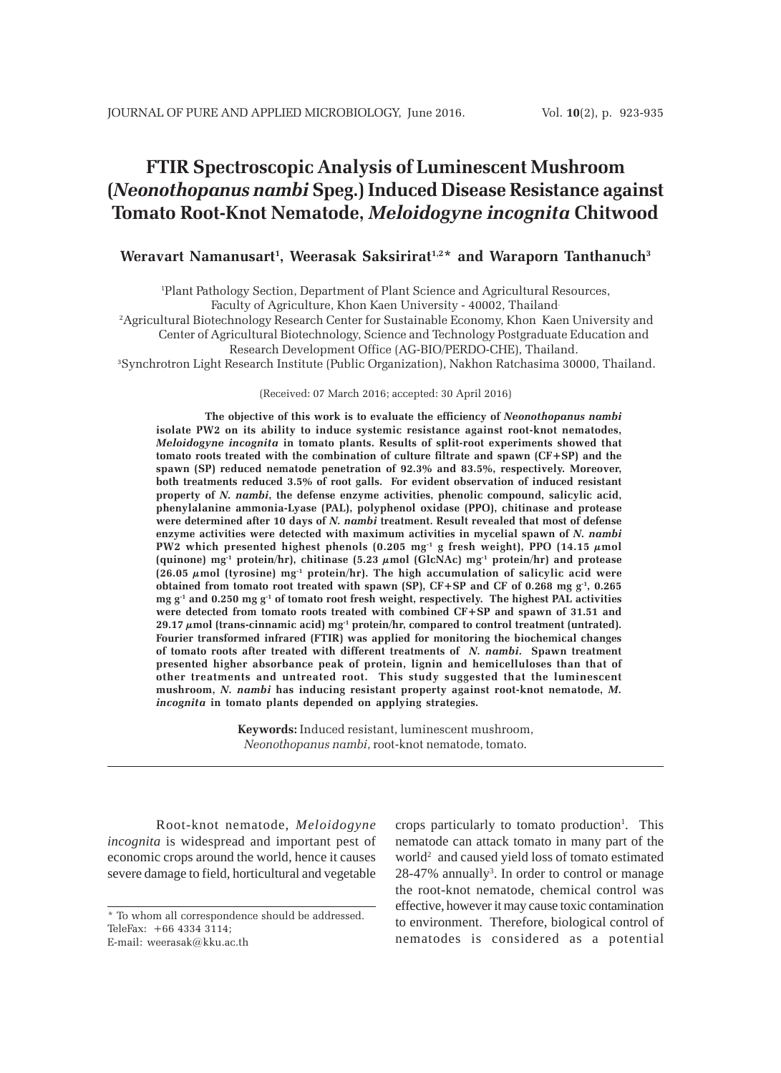# **FTIR Spectroscopic Analysis of Luminescent Mushroom (***Neonothopanus nambi* **Speg.) Induced Disease Resistance against Tomato Root-Knot Nematode,** *Meloidogyne incognita* **Chitwood**

## **Weravart Namanusart1 , Weerasak Saksirirat1,2\* and Waraporn Tanthanuch3**

1 Plant Pathology Section, Department of Plant Science and Agricultural Resources,

Faculty of Agriculture, Khon Kaen University - 40002, Thailand.

2Agricultural Biotechnology Research Center for Sustainable Economy, Khon Kaen University and

Center of Agricultural Biotechnology, Science and Technology Postgraduate Education and

Research Development Office (AG-BIO/PERDO-CHE), Thailand. 3Synchrotron Light Research Institute (Public Organization), Nakhon Ratchasima 30000, Thailand.

(Received: 07 March 2016; accepted: 30 April 2016)

**The objective of this work is to evaluate the efficiency of** *Neonothopanus nambi* **isolate PW2 on its ability to induce systemic resistance against root-knot nematodes,** *Meloidogyne incognita* **in tomato plants. Results of split-root experiments showed that tomato roots treated with the combination of culture filtrate and spawn (CF+SP) and the spawn (SP) reduced nematode penetration of 92.3% and 83.5%, respectively. Moreover, both treatments reduced 3.5% of root galls. For evident observation of induced resistant property of** *N. nambi***, the defense enzyme activities, phenolic compound, salicylic acid, phenylalanine ammonia-Lyase (PAL), polyphenol oxidase (PPO), chitinase and protease were determined after 10 days of** *N. nambi* **treatment. Result revealed that most of defense enzyme activities were detected with maximum activities in mycelial spawn of** *N. nambi* **PW2** which presented highest phenols  $(0.205 \text{ mg}^{-1} \text{ g fresh weight})$ , PPO  $(14.15 \mu \text{mol})$ **(quinone) mg-1 protein/hr), chitinase (5.23 µmol (GlcNAc) mg-1 protein/hr) and protease (26.05 µmol (tyrosine) mg-1 protein/hr). The high accumulation of salicylic acid were obtained from tomato root treated with spawn (SP), CF+SP and CF of 0.268 mg**  $g^{-1}$ **, 0.265 mg g-1 and 0.250 mg g-1 of tomato root fresh weight, respectively. The highest PAL activities were detected from tomato roots treated with combined CF+SP and spawn of 31.51 and 29.17 µmol (trans-cinnamic acid) mg-1 protein/hr, compared to control treatment (untrated). Fourier transformed infrared (FTIR) was applied for monitoring the biochemical changes of tomato roots after treated with different treatments of** *N. nambi***. Spawn treatment presented higher absorbance peak of protein, lignin and hemicelluloses than that of other treatments and untreated root. This study suggested that the luminescent mushroom,** *N. nambi* **has inducing resistant property against root-knot nematode,** *M. incognita* **in tomato plants depended on applying strategies.**

> **Keywords:** Induced resistant, luminescent mushroom, *Neonothopanus nambi*, root-knot nematode, tomato.

Root-knot nematode, *Meloidogyne incognita* is widespread and important pest of economic crops around the world, hence it causes severe damage to field, horticultural and vegetable

crops particularly to tomato production<sup>1</sup>. This nematode can attack tomato in many part of the world<sup>2</sup> and caused yield loss of tomato estimated 28-47% annually<sup>3</sup>. In order to control or manage the root-knot nematode, chemical control was effective, however it may cause toxic contamination to environment. Therefore, biological control of nematodes is considered as a potential

<sup>\*</sup> To whom all correspondence should be addressed. TeleFax: +66 4334 3114; E-mail: weerasak@kku.ac.th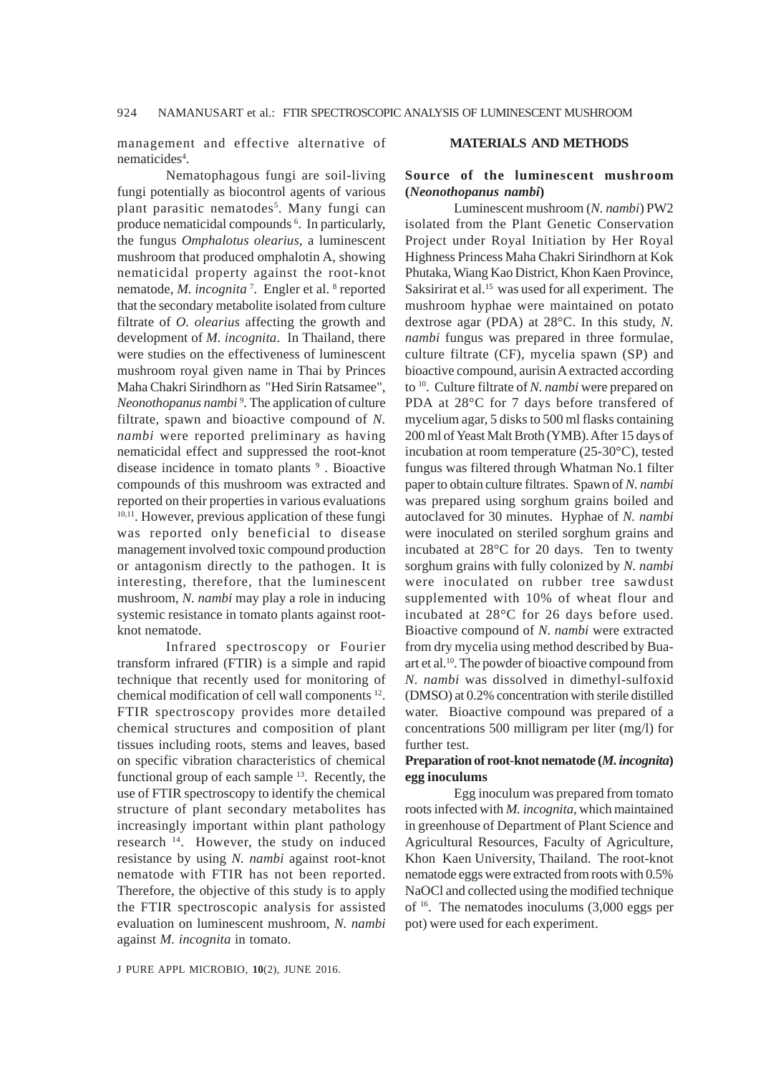management and effective alternative of nematicides<sup>4</sup>.

Nematophagous fungi are soil-living fungi potentially as biocontrol agents of various plant parasitic nematodes<sup>5</sup>. Many fungi can produce nematicidal compounds <sup>6</sup>. In particularly, the fungus *Omphalotus olearius*, a luminescent mushroom that produced omphalotin A, showing nematicidal property against the root-knot nematode, *M. incognita*<sup>7</sup>. Engler et al.<sup>8</sup> reported that the secondary metabolite isolated from culture filtrate of *O. olearius* affecting the growth and development of *M. incognita*. In Thailand, there were studies on the effectiveness of luminescent mushroom royal given name in Thai by Princes Maha Chakri Sirindhorn as "Hed Sirin Ratsamee", Neonothopanus nambi<sup>9</sup>. The application of culture filtrate, spawn and bioactive compound of *N. nambi* were reported preliminary as having nematicidal effect and suppressed the root-knot disease incidence in tomato plants<sup>9</sup>. Bioactive compounds of this mushroom was extracted and reported on their properties in various evaluations <sup>10,11</sup>. However, previous application of these fungi was reported only beneficial to disease management involved toxic compound production or antagonism directly to the pathogen. It is interesting, therefore, that the luminescent mushroom, *N. nambi* may play a role in inducing systemic resistance in tomato plants against rootknot nematode.

Infrared spectroscopy or Fourier transform infrared (FTIR) is a simple and rapid technique that recently used for monitoring of chemical modification of cell wall components 12. FTIR spectroscopy provides more detailed chemical structures and composition of plant tissues including roots, stems and leaves, based on specific vibration characteristics of chemical functional group of each sample 13. Recently, the use of FTIR spectroscopy to identify the chemical structure of plant secondary metabolites has increasingly important within plant pathology research 14. However, the study on induced resistance by using *N. nambi* against root-knot nematode with FTIR has not been reported. Therefore, the objective of this study is to apply the FTIR spectroscopic analysis for assisted evaluation on luminescent mushroom, *N. nambi* against *M. incognita* in tomato.

J PURE APPL MICROBIO*,* **10**(2), JUNE 2016.

## **MATERIALS AND METHODS**

# **Source of the luminescent mushroom (***Neonothopanus nambi***)**

Luminescent mushroom (*N. nambi*) PW2 isolated from the Plant Genetic Conservation Project under Royal Initiation by Her Royal Highness Princess Maha Chakri Sirindhorn at Kok Phutaka, Wiang Kao District, Khon Kaen Province, Saksirirat et al.<sup>15</sup> was used for all experiment. The mushroom hyphae were maintained on potato dextrose agar (PDA) at 28°C. In this study, *N. nambi* fungus was prepared in three formulae, culture filtrate (CF), mycelia spawn (SP) and bioactive compound, aurisin A extracted according to 10. Culture filtrate of *N. nambi* were prepared on PDA at 28°C for 7 days before transfered of mycelium agar, 5 disks to 500 ml flasks containing 200 ml of Yeast Malt Broth (YMB). After 15 days of incubation at room temperature (25-30°C), tested fungus was filtered through Whatman No.1 filter paper to obtain culture filtrates. Spawn of *N. nambi* was prepared using sorghum grains boiled and autoclaved for 30 minutes. Hyphae of *N. nambi* were inoculated on steriled sorghum grains and incubated at 28°C for 20 days. Ten to twenty sorghum grains with fully colonized by *N. nambi* were inoculated on rubber tree sawdust supplemented with 10% of wheat flour and incubated at 28°C for 26 days before used. Bioactive compound of *N. nambi* were extracted from dry mycelia using method described by Buaart et al.10. The powder of bioactive compound from *N. nambi* was dissolved in dimethyl-sulfoxid (DMSO) at 0.2% concentration with sterile distilled water. Bioactive compound was prepared of a concentrations 500 milligram per liter (mg/l) for further test.

## **Preparation of root-knot nematode (***M. incognita***) egg inoculums**

Egg inoculum was prepared from tomato roots infected with *M. incognita,* which maintained in greenhouse of Department of Plant Science and Agricultural Resources, Faculty of Agriculture, Khon Kaen University, Thailand. The root-knot nematode eggs were extracted from roots with 0.5% NaOCl and collected using the modified technique of  $16$ . The nematodes inoculums  $(3,000 \text{ eggs per})$ pot) were used for each experiment.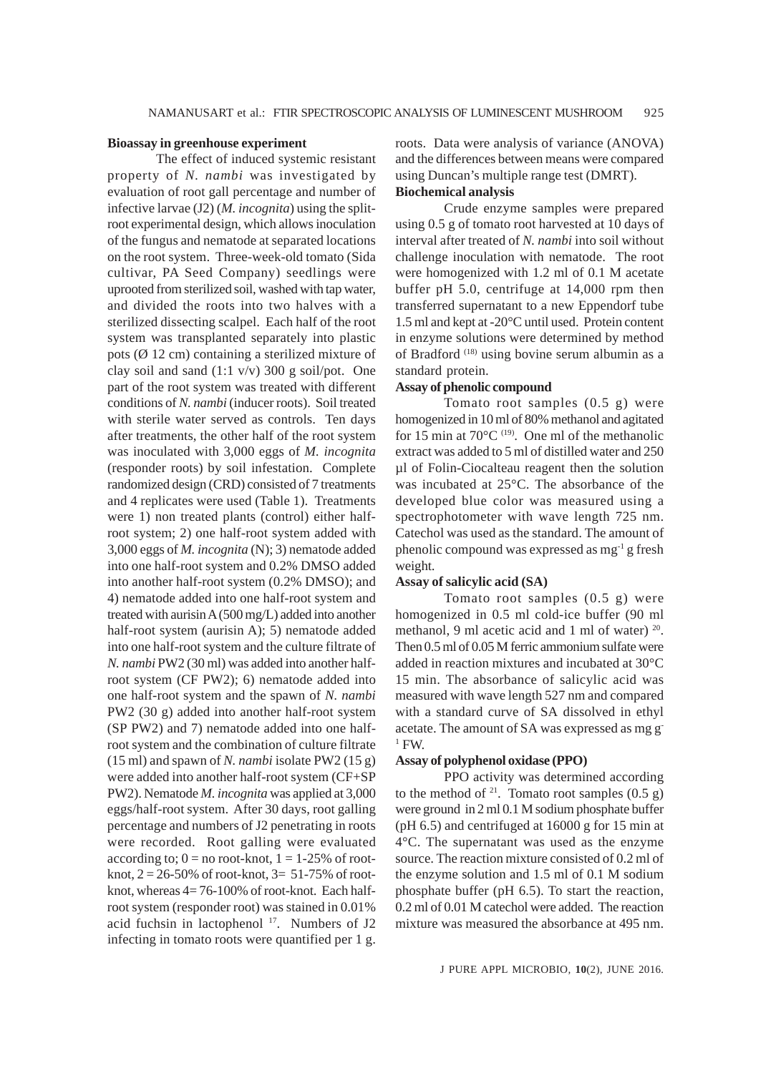### **Bioassay in greenhouse experiment**

The effect of induced systemic resistant property of *N. nambi* was investigated by evaluation of root gall percentage and number of infective larvae (J2) (*M. incognita*) using the splitroot experimental design, which allows inoculation of the fungus and nematode at separated locations on the root system. Three-week-old tomato (Sida cultivar, PA Seed Company) seedlings were uprooted from sterilized soil, washed with tap water, and divided the roots into two halves with a sterilized dissecting scalpel. Each half of the root system was transplanted separately into plastic pots ( $\varnothing$  12 cm) containing a sterilized mixture of clay soil and sand  $(1:1 \text{ v/v})$  300 g soil/pot. One part of the root system was treated with different conditions of *N. nambi* (inducer roots). Soil treated with sterile water served as controls. Ten days after treatments, the other half of the root system was inoculated with 3,000 eggs of *M. incognita* (responder roots) by soil infestation. Complete randomized design (CRD) consisted of 7 treatments and 4 replicates were used (Table 1). Treatments were 1) non treated plants (control) either halfroot system; 2) one half-root system added with 3,000 eggs of *M. incognita* (N); 3) nematode added into one half-root system and 0.2% DMSO added into another half-root system (0.2% DMSO); and 4) nematode added into one half-root system and treated with aurisin A (500 mg/L) added into another half-root system (aurisin A); 5) nematode added into one half-root system and the culture filtrate of *N. nambi* PW2 (30 ml) was added into another halfroot system (CF PW2); 6) nematode added into one half-root system and the spawn of *N. nambi* PW2 (30 g) added into another half-root system (SP PW2) and 7) nematode added into one halfroot system and the combination of culture filtrate (15 ml) and spawn of *N. nambi* isolate PW2 (15 g) were added into another half-root system (CF+SP PW2). Nematode *M. incognita* was applied at 3,000 eggs/half-root system. After 30 days, root galling percentage and numbers of J2 penetrating in roots were recorded. Root galling were evaluated according to;  $0 =$  no root-knot,  $1 = 1-25%$  of rootknot,  $2 = 26 - 50\%$  of root-knot,  $3 = 51 - 75\%$  of rootknot, whereas  $4=76-100\%$  of root-knot. Each halfroot system (responder root) was stained in 0.01% acid fuchsin in lactophenol <sup>17</sup>. Numbers of J2 infecting in tomato roots were quantified per 1 g. roots. Data were analysis of variance (ANOVA) and the differences between means were compared using Duncan's multiple range test (DMRT). **Biochemical analysis**

Crude enzyme samples were prepared using 0.5 g of tomato root harvested at 10 days of interval after treated of *N. nambi* into soil without challenge inoculation with nematode. The root were homogenized with 1.2 ml of 0.1 M acetate buffer pH 5.0, centrifuge at 14,000 rpm then transferred supernatant to a new Eppendorf tube 1.5 ml and kept at -20°C until used. Protein content in enzyme solutions were determined by method of Bradford (18) using bovine serum albumin as a standard protein.

## **Assay of phenolic compound**

Tomato root samples (0.5 g) were homogenized in 10 ml of 80% methanol and agitated for 15 min at  $70^{\circ}$ C <sup>(19)</sup>. One ml of the methanolic extract was added to 5 ml of distilled water and 250 µl of Folin-Ciocalteau reagent then the solution was incubated at 25°C. The absorbance of the developed blue color was measured using a spectrophotometer with wave length 725 nm. Catechol was used as the standard. The amount of phenolic compound was expressed as mg-1 g fresh weight.

## **Assay of salicylic acid (SA)**

Tomato root samples (0.5 g) were homogenized in 0.5 ml cold-ice buffer (90 ml methanol, 9 ml acetic acid and 1 ml of water)  $^{20}$ . Then 0.5 ml of 0.05 M ferric ammonium sulfate were added in reaction mixtures and incubated at 30°C 15 min. The absorbance of salicylic acid was measured with wave length 527 nm and compared with a standard curve of SA dissolved in ethyl acetate. The amount of SA was expressed as mg g- $1$  FW.

#### **Assay of polyphenol oxidase (PPO)**

PPO activity was determined according to the method of <sup>21</sup>. Tomato root samples  $(0.5 \text{ g})$ were ground in 2 ml 0.1 M sodium phosphate buffer (pH 6.5) and centrifuged at 16000 g for 15 min at 4°C. The supernatant was used as the enzyme source. The reaction mixture consisted of 0.2 ml of the enzyme solution and 1.5 ml of 0.1 M sodium phosphate buffer (pH 6.5). To start the reaction, 0.2 ml of 0.01 M catechol were added. The reaction mixture was measured the absorbance at 495 nm.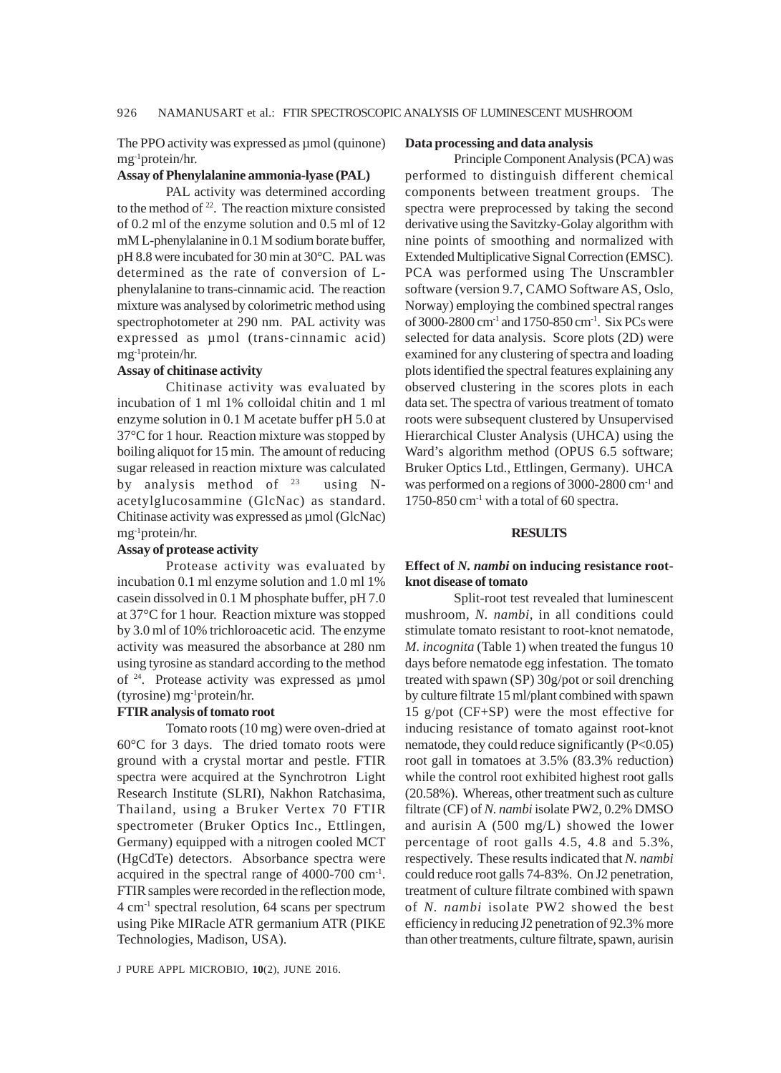The PPO activity was expressed as  $\mu$ mol (quinone) mg-1protein/hr.

#### **Assay of Phenylalanine ammonia-lyase (PAL)**

PAL activity was determined according to the method of  $22$ . The reaction mixture consisted of 0.2 ml of the enzyme solution and 0.5 ml of 12 mM L-phenylalanine in 0.1 M sodium borate buffer, pH 8.8 were incubated for 30 min at 30°C. PAL was determined as the rate of conversion of Lphenylalanine to trans-cinnamic acid. The reaction mixture was analysed by colorimetric method using spectrophotometer at 290 nm. PAL activity was expressed as µmol (trans-cinnamic acid) mg-1protein/hr.

#### **Assay of chitinase activity**

Chitinase activity was evaluated by incubation of 1 ml 1% colloidal chitin and 1 ml enzyme solution in 0.1 M acetate buffer pH 5.0 at 37°C for 1 hour. Reaction mixture was stopped by boiling aliquot for 15 min. The amount of reducing sugar released in reaction mixture was calculated by analysis method of  $23$  using Nacetylglucosammine (GlcNac) as standard. Chitinase activity was expressed as µmol (GlcNac) mg-1protein/hr.

## **Assay of protease activity**

Protease activity was evaluated by incubation 0.1 ml enzyme solution and 1.0 ml 1% casein dissolved in 0.1 M phosphate buffer, pH 7.0 at 37°C for 1 hour. Reaction mixture was stopped by 3.0 ml of 10% trichloroacetic acid. The enzyme activity was measured the absorbance at 280 nm using tyrosine as standard according to the method of 24. Protease activity was expressed as µmol (tyrosine) mg-1protein/hr.

## **FTIR analysis of tomato root**

Tomato roots (10 mg) were oven-dried at 60°C for 3 days. The dried tomato roots were ground with a crystal mortar and pestle. FTIR spectra were acquired at the Synchrotron Light Research Institute (SLRI), Nakhon Ratchasima, Thailand, using a Bruker Vertex 70 FTIR spectrometer (Bruker Optics Inc., Ettlingen, Germany) equipped with a nitrogen cooled MCT (HgCdTe) detectors. Absorbance spectra were acquired in the spectral range of 4000-700 cm-1. FTIR samples were recorded in the reflection mode, 4 cm-1 spectral resolution, 64 scans per spectrum using Pike MIRacle ATR germanium ATR (PIKE Technologies, Madison, USA).

#### **Data processing and data analysis**

Principle Component Analysis (PCA) was performed to distinguish different chemical components between treatment groups. The spectra were preprocessed by taking the second derivative using the Savitzky-Golay algorithm with nine points of smoothing and normalized with Extended Multiplicative Signal Correction (EMSC). PCA was performed using The Unscrambler software (version 9.7, CAMO Software AS, Oslo, Norway) employing the combined spectral ranges of 3000-2800 cm-1 and 1750-850 cm-1. Six PCs were selected for data analysis. Score plots (2D) were examined for any clustering of spectra and loading plots identified the spectral features explaining any observed clustering in the scores plots in each data set. The spectra of various treatment of tomato roots were subsequent clustered by Unsupervised Hierarchical Cluster Analysis (UHCA) using the Ward's algorithm method (OPUS 6.5 software; Bruker Optics Ltd., Ettlingen, Germany). UHCA was performed on a regions of 3000-2800 cm<sup>-1</sup> and 1750-850  $cm^{-1}$  with a total of 60 spectra.

#### **RESULTS**

## **Effect of** *N. nambi* **on inducing resistance rootknot disease of tomato**

Split-root test revealed that luminescent mushroom, *N. nambi*, in all conditions could stimulate tomato resistant to root-knot nematode, *M. incognita* (Table 1) when treated the fungus 10 days before nematode egg infestation. The tomato treated with spawn (SP) 30g/pot or soil drenching by culture filtrate 15 ml/plant combined with spawn 15 g/pot (CF+SP) were the most effective for inducing resistance of tomato against root-knot nematode, they could reduce significantly (P<0.05) root gall in tomatoes at 3.5% (83.3% reduction) while the control root exhibited highest root galls (20.58%). Whereas, other treatment such as culture filtrate (CF) of *N. nambi* isolate PW2, 0.2% DMSO and aurisin A (500 mg/L) showed the lower percentage of root galls 4.5, 4.8 and 5.3%, respectively. These results indicated that *N. nambi* could reduce root galls 74-83%. On J2 penetration, treatment of culture filtrate combined with spawn of *N. nambi* isolate PW2 showed the best efficiency in reducing J2 penetration of 92.3% more than other treatments, culture filtrate, spawn, aurisin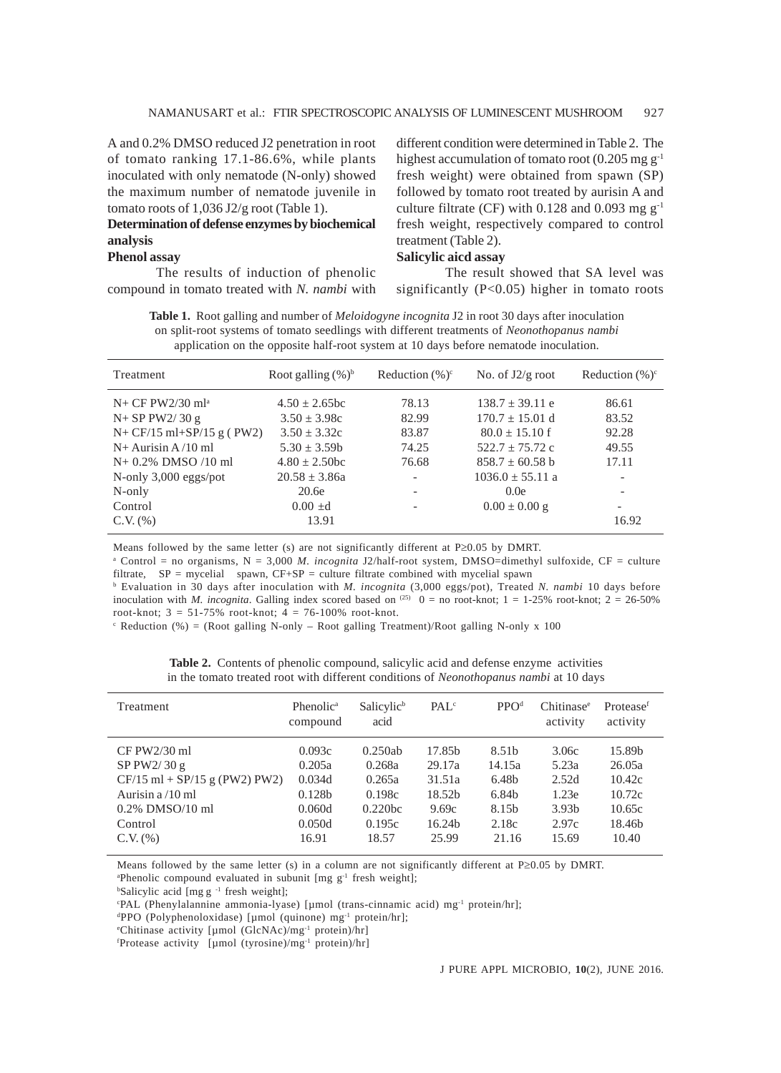A and 0.2% DMSO reduced J2 penetration in root of tomato ranking 17.1-86.6%, while plants inoculated with only nematode (N-only) showed the maximum number of nematode juvenile in tomato roots of 1,036 J2/g root (Table 1).

# **Determination of defense enzymes by biochemical analysis**

# **Phenol assay**

The results of induction of phenolic compound in tomato treated with *N. nambi* with different condition were determined in Table 2. The highest accumulation of tomato root  $(0.205 \text{ mg g}^{-1})$ fresh weight) were obtained from spawn (SP) followed by tomato root treated by aurisin A and culture filtrate (CF) with  $0.128$  and  $0.093$  mg g<sup>-1</sup> fresh weight, respectively compared to control treatment (Table 2).

#### **Salicylic aicd assay**

The result showed that SA level was significantly (P<0.05) higher in tomato roots

**Table 1.** Root galling and number of *Meloidogyne incognita* J2 in root 30 days after inoculation on split-root systems of tomato seedlings with different treatments of *Neonothopanus nambi* application on the opposite half-root system at 10 days before nematode inoculation.

| Treatment                      | Root galling $(\%)^b$ | Reduction $(\% )^c$      | No. of $J2/g$ root   | Reduction $(\% )^c$      |
|--------------------------------|-----------------------|--------------------------|----------------------|--------------------------|
| $N+$ CF PW2/30 ml <sup>a</sup> | $4.50 + 2.65$ bc      | 78.13                    | $138.7 + 39.11e$     | 86.61                    |
| $N+$ SP PW2/30 g               | $3.50 \pm 3.98c$      | 82.99                    | $170.7 \pm 15.01$ d  | 83.52                    |
| $N + CF/15$ ml+SP/15 g (PW2)   | $3.50 \pm 3.32c$      | 83.87                    | $80.0 + 15.10$ f     | 92.28                    |
| $N+$ Aurisin A /10 ml          | $5.30 \pm 3.59b$      | 74.25                    | $522.7 + 75.72$ c    | 49.55                    |
| $N+ 0.2\%$ DMSO /10 ml         | $4.80 + 2.50$ bc      | 76.68                    | $858.7 + 60.58$ b    | 17.11                    |
| N-only $3,000$ eggs/pot        | $20.58 \pm 3.86a$     | $\overline{\phantom{a}}$ | $1036.0 \pm 55.11$ a |                          |
| N-only                         | 20.6e                 |                          | 0.0e                 |                          |
| Control                        | $0.00 + d$            |                          | $0.00 \pm 0.00$ g    | $\overline{\phantom{0}}$ |
| $C.V.$ $(\% )$                 | 13.91                 |                          |                      | 16.92                    |

Means followed by the same letter (s) are not significantly different at P≥0.05 by DMRT.

<sup>a</sup> Control = no organisms, N = 3,000 *M. incognita J2/half-root system, DMSO*=dimethyl sulfoxide, CF = culture filtrate, SP = mycelial spawn, CF+SP = culture filtrate combined with mycelial spawn

b Evaluation in 30 days after inoculation with *M. incognita* (3,000 eggs/pot), Treated *N. nambi* 10 days before inoculation with *M. incognita*. Galling index scored based on <sup>(25)</sup> 0 = no root-knot; 1 = 1-25% root-knot; 2 = 26-50% root-knot;  $3 = 51 - 75\%$  root-knot;  $4 = 76 - 100\%$  root-knot.

 $c$  Reduction (%) = (Root galling N-only – Root galling Treatment)/Root galling N-only x 100

| Treatment                         | Phenolic <sup>a</sup><br>compound | Salicylic <sup>b</sup><br>acid | PAL <sup>c</sup>   | PPO <sup>d</sup> | Chitinase <sup>e</sup><br>activity | Protease <sup>f</sup><br>activity |
|-----------------------------------|-----------------------------------|--------------------------------|--------------------|------------------|------------------------------------|-----------------------------------|
| $CF P W2/30$ ml                   | 0.093c                            | 0.250ab                        | 17.85b             | 8.51b            | 3.06c                              | 15.89b                            |
| SPPW2/30 g                        | 0.205a                            | 0.268a                         | 29.17a             | 14.15a           | 5.23a                              | 26.05a                            |
| $CF/15$ ml + $SP/15$ g (PW2) PW2) | 0.034d                            | 0.265a                         | 31.51a             | 6.48b            | 2.52d                              | 10.42c                            |
| Aurisin $a/10$ ml                 | 0.128 <sub>b</sub>                | 0.198c                         | 18.52 <sub>b</sub> | 6.84b            | 1.23e                              | 10.72c                            |
| $0.2\%$ DMSO/10 ml                | 0.060d                            | 0.220bc                        | 9.69c              | 8.15b            | 3.93 <sub>b</sub>                  | 10.65c                            |
| Control                           | 0.050d                            | 0.195c                         | 16.24b             | 2.18c            | 2.97c                              | 18.46b                            |
| $C.V.$ $(\%)$                     | 16.91                             | 18.57                          | 25.99              | 21.16            | 15.69                              | 10.40                             |

| <b>Table 2.</b> Contents of phenolic compound, salicylic acid and defense enzyme activities   |  |
|-----------------------------------------------------------------------------------------------|--|
| in the tomato treated root with different conditions of <i>Neonothopanus nambi</i> at 10 days |  |

Means followed by the same letter (s) in a column are not significantly different at P≥0.05 by DMRT.

<sup>a</sup>Phenolic compound evaluated in subunit [mg g<sup>-1</sup> fresh weight];

<sup>b</sup>Salicylic acid [mg g<sup>-1</sup> fresh weight];

c PAL (Phenylalannine ammonia-lyase) [µmol (trans-cinnamic acid) mg-1 protein/hr];

d PPO (Polyphenoloxidase) [µmol (quinone) mg-1 protein/hr];

e Chitinase activity [µmol (GlcNAc)/mg-1 protein)/hr]

f Protease activity [µmol (tyrosine)/mg-1 protein)/hr]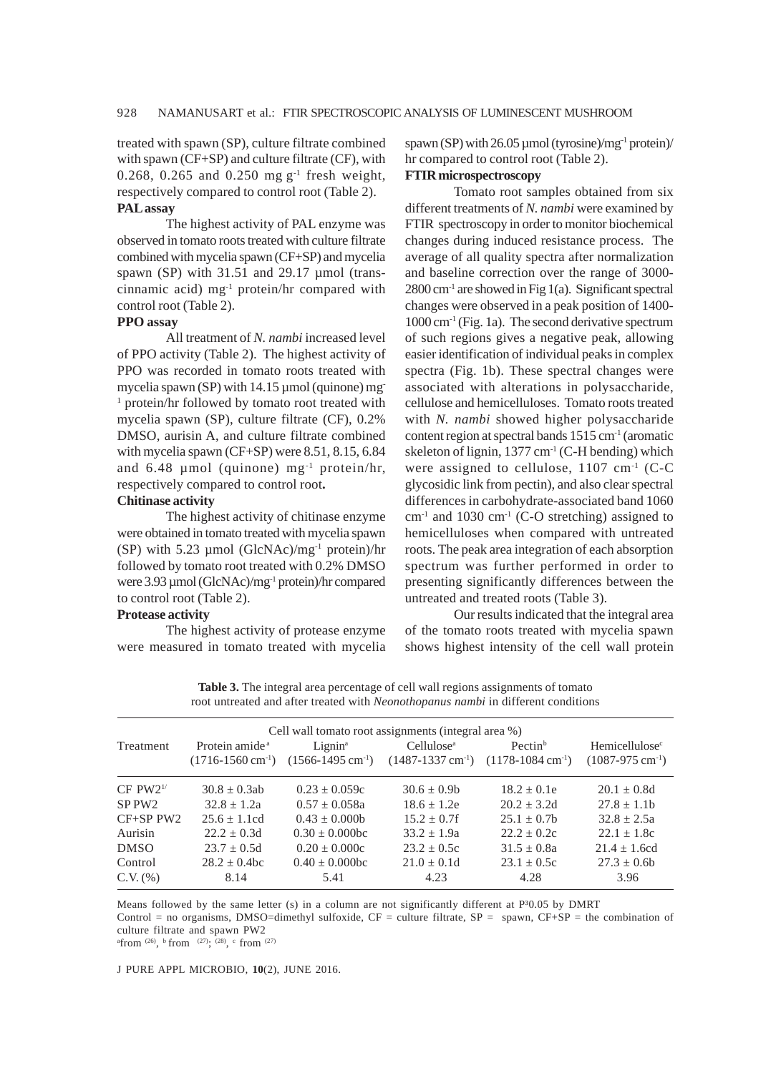treated with spawn (SP), culture filtrate combined with spawn (CF+SP) and culture filtrate (CF), with 0.268, 0.265 and 0.250 mg  $g^{-1}$  fresh weight, respectively compared to control root (Table 2).

## **PAL assay**

The highest activity of PAL enzyme was observed in tomato roots treated with culture filtrate combined with mycelia spawn (CF+SP) and mycelia spawn (SP) with 31.51 and 29.17 µmol (transcinnamic acid) mg $^{-1}$  protein/hr compared with control root (Table 2).

#### **PPO assay**

All treatment of *N. nambi* increased level of PPO activity (Table 2). The highest activity of PPO was recorded in tomato roots treated with mycelia spawn (SP) with 14.15 µmol (quinone) mg <sup>1</sup> protein/hr followed by tomato root treated with mycelia spawn (SP), culture filtrate (CF), 0.2% DMSO, aurisin A, and culture filtrate combined with mycelia spawn (CF+SP) were 8.51, 8.15, 6.84 and  $6.48 \mu$ mol (quinone) mg<sup>-1</sup> protein/hr, respectively compared to control root**.**

#### **Chitinase activity**

The highest activity of chitinase enzyme were obtained in tomato treated with mycelia spawn (SP) with 5.23 µmol (GlcNAc)/mg-1 protein)/hr followed by tomato root treated with 0.2% DMSO were 3.93 µmol (GlcNAc)/mg-1 protein)/hr compared to control root (Table 2).

#### **Protease activity**

The highest activity of protease enzyme were measured in tomato treated with mycelia

spawn (SP) with  $26.05 \mu$  mol (tyrosine)/mg<sup>-1</sup> protein)/ hr compared to control root (Table 2). **FTIR microspectroscopy**

# Tomato root samples obtained from six different treatments of *N. nambi* were examined by FTIR spectroscopy in order to monitor biochemical changes during induced resistance process. The average of all quality spectra after normalization and baseline correction over the range of 3000-  $2800 \text{ cm}^{-1}$  are showed in Fig 1(a). Significant spectral changes were observed in a peak position of 1400-  $1000 \text{ cm}^{-1}$  (Fig. 1a). The second derivative spectrum of such regions gives a negative peak, allowing easier identification of individual peaks in complex spectra (Fig. 1b). These spectral changes were associated with alterations in polysaccharide, cellulose and hemicelluloses. Tomato roots treated with *N. nambi* showed higher polysaccharide content region at spectral bands  $1515 \text{ cm}^{-1}$  (aromatic skeleton of lignin,  $1377 \text{ cm}^{-1}$  (C-H bending) which were assigned to cellulose,  $1107 \text{ cm}^{-1}$  (C-C) glycosidic link from pectin), and also clear spectral differences in carbohydrate-associated band 1060  $cm<sup>-1</sup>$  and 1030 cm<sup>-1</sup> (C-O stretching) assigned to hemicelluloses when compared with untreated roots. The peak area integration of each absorption spectrum was further performed in order to presenting significantly differences between the untreated and treated roots (Table 3).

Our results indicated that the integral area of the tomato roots treated with mycelia spawn shows highest intensity of the cell wall protein

**Table 3.** The integral area percentage of cell wall regions assignments of tomato root untreated and after treated with *Neonothopanus nambi* in different conditions

| Cell wall tomato root assignments (integral area %) |                               |                        |                                   |                                                                |  |  |  |  |
|-----------------------------------------------------|-------------------------------|------------------------|-----------------------------------|----------------------------------------------------------------|--|--|--|--|
| Protein amide <sup>a</sup>                          | $Lignin^a$                    | Cellulose <sup>a</sup> | Pectin <sup>b</sup>               | Hemicellulose <sup>c</sup>                                     |  |  |  |  |
|                                                     |                               |                        |                                   | $(1087-975 \text{ cm}^{-1})$                                   |  |  |  |  |
| $30.8 \pm 0.3ab$                                    | $0.23 \pm 0.059c$             | $30.6 \pm 0.9b$        | $18.2 \pm 0.1e$                   | $20.1 \pm 0.8d$                                                |  |  |  |  |
| $32.8 + 1.2a$                                       | $0.57 \pm 0.058a$             | $18.6 \pm 1.2e$        | $20.2 + 3.2d$                     | $27.8 \pm 1.1$ b                                               |  |  |  |  |
| $25.6 + 1.1cd$                                      | $0.43 + 0.000$                | $15.2 + 0.7f$          | $25.1 + 0.7b$                     | $32.8 + 2.5a$                                                  |  |  |  |  |
| $22.2 \pm 0.3d$                                     | $0.30 \pm 0.000$ bc           | $33.2 + 1.9a$          | $22.2 + 0.2c$                     | $22.1 + 1.8c$                                                  |  |  |  |  |
| $23.7 \pm 0.5d$                                     | $0.20 \pm 0.000c$             | $23.2 \pm 0.5c$        | $31.5 \pm 0.8a$                   | $21.4 + 1.6cd$                                                 |  |  |  |  |
| $28.2 \pm 0.4$ bc                                   | $0.40 \pm 0.000$ bc           | $21.0 \pm 0.1d$        | $23.1 + 0.5c$                     | $27.3 \pm 0.6b$                                                |  |  |  |  |
| 8.14                                                | 5.41                          | 4.23                   | 4.28                              | 3.96                                                           |  |  |  |  |
|                                                     | $(1716-1560 \text{ cm}^{-1})$ |                        | $(1566 - 1495$ cm <sup>-1</sup> ) | $(1487-1337 \text{ cm}^{-1})$<br>$(1178-1084 \text{ cm}^{-1})$ |  |  |  |  |

Means followed by the same letter (s) in a column are not significantly different at  $P<sup>30.05</sup>$  by DMRT

Control = no organisms, DMSO=dimethyl sulfoxide, CF = culture filtrate, SP = spawn, CF+SP = the combination of culture filtrate and spawn PW2

afrom (26), b from (27); (28), c from (27)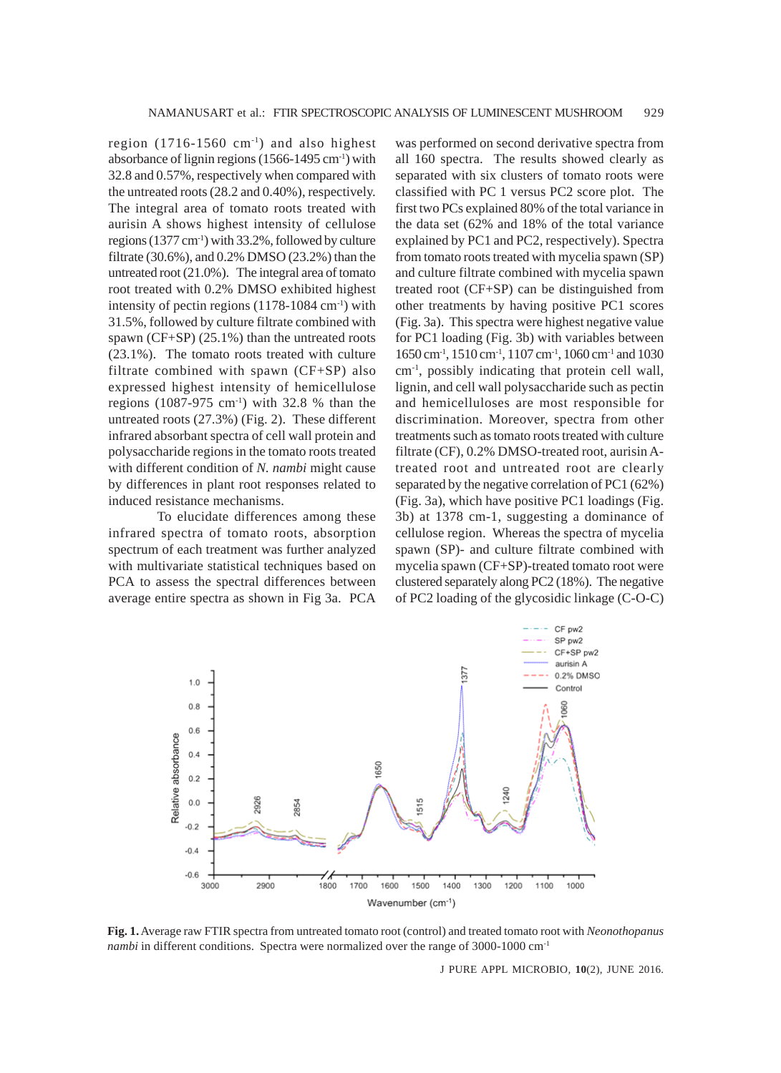region  $(1716-1560 \text{ cm}^{-1})$  and also highest absorbance of lignin regions (1566-1495 cm-1) with 32.8 and 0.57%, respectively when compared with the untreated roots (28.2 and 0.40%), respectively. The integral area of tomato roots treated with aurisin A shows highest intensity of cellulose regions (1377 cm-1) with 33.2%, followed by culture filtrate (30.6%), and 0.2% DMSO (23.2%) than the untreated root (21.0%). The integral area of tomato root treated with 0.2% DMSO exhibited highest intensity of pectin regions (1178-1084 cm-1) with 31.5%, followed by culture filtrate combined with spawn (CF+SP) (25.1%) than the untreated roots (23.1%). The tomato roots treated with culture filtrate combined with spawn (CF+SP) also expressed highest intensity of hemicellulose regions  $(1087-975 \text{ cm}^3)$  with 32.8 % than the untreated roots (27.3%) (Fig. 2). These different infrared absorbant spectra of cell wall protein and polysaccharide regions in the tomato roots treated with different condition of *N. nambi* might cause by differences in plant root responses related to induced resistance mechanisms.

To elucidate differences among these infrared spectra of tomato roots, absorption spectrum of each treatment was further analyzed with multivariate statistical techniques based on PCA to assess the spectral differences between average entire spectra as shown in Fig 3a. PCA was performed on second derivative spectra from all 160 spectra. The results showed clearly as separated with six clusters of tomato roots were classified with PC 1 versus PC2 score plot. The first two PCs explained 80% of the total variance in the data set (62% and 18% of the total variance explained by PC1 and PC2, respectively). Spectra from tomato roots treated with mycelia spawn (SP) and culture filtrate combined with mycelia spawn treated root (CF+SP) can be distinguished from other treatments by having positive PC1 scores (Fig. 3a). This spectra were highest negative value for PC1 loading (Fig. 3b) with variables between 1650 cm-1, 1510 cm-1, 1107 cm-1, 1060 cm-1 and 1030 cm-1, possibly indicating that protein cell wall, lignin, and cell wall polysaccharide such as pectin and hemicelluloses are most responsible for discrimination. Moreover, spectra from other treatments such as tomato roots treated with culture filtrate (CF), 0.2% DMSO-treated root, aurisin Atreated root and untreated root are clearly separated by the negative correlation of PC1 (62%) (Fig. 3a), which have positive PC1 loadings (Fig. 3b) at 1378 cm-1, suggesting a dominance of cellulose region. Whereas the spectra of mycelia spawn (SP)- and culture filtrate combined with mycelia spawn (CF+SP)-treated tomato root were clustered separately along PC2 (18%). The negative of PC2 loading of the glycosidic linkage (C-O-C)



**Fig. 1.** Average raw FTIR spectra from untreated tomato root (control) and treated tomato root with *Neonothopanus nambi* in different conditions. Spectra were normalized over the range of 3000-1000 cm<sup>-1</sup>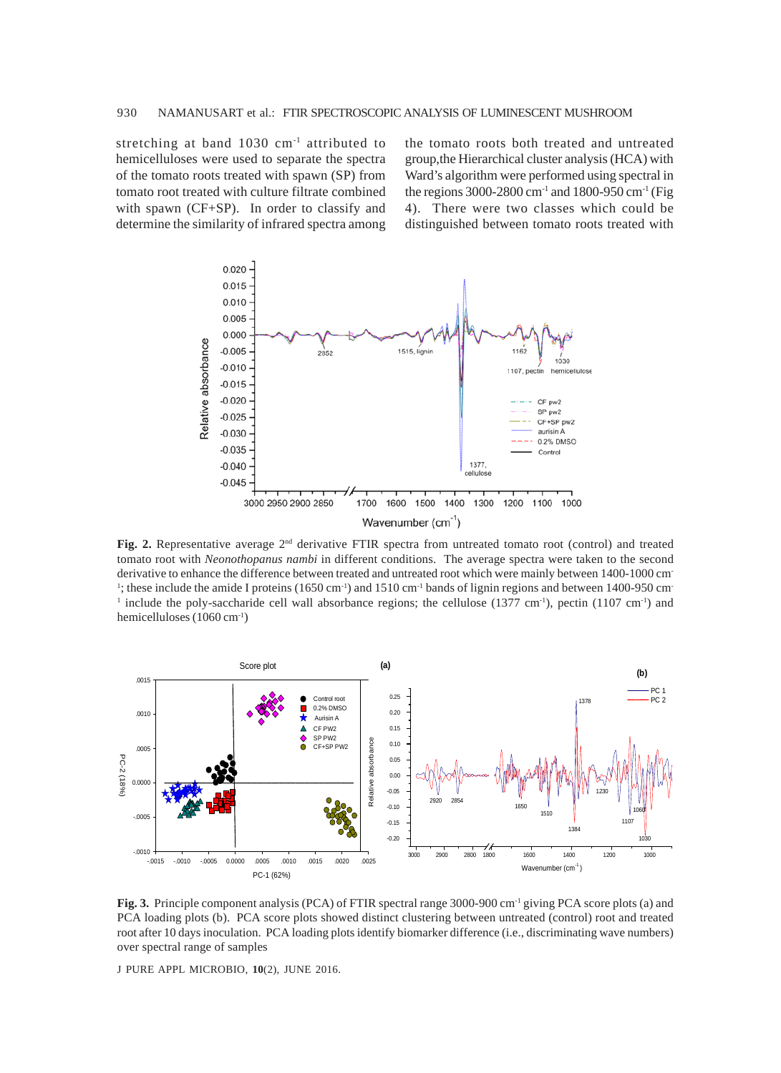stretching at band 1030 cm<sup>-1</sup> attributed to hemicelluloses were used to separate the spectra of the tomato roots treated with spawn (SP) from tomato root treated with culture filtrate combined with spawn (CF+SP). In order to classify and determine the similarity of infrared spectra among

the tomato roots both treated and untreated group,the Hierarchical cluster analysis (HCA) with Ward's algorithm were performed using spectral in the regions 3000-2800 cm<sup>-1</sup> and 1800-950 cm<sup>-1</sup> (Fig 4). There were two classes which could be distinguished between tomato roots treated with



**Fig. 2.** Representative average 2nd derivative FTIR spectra from untreated tomato root (control) and treated tomato root with *Neonothopanus nambi* in different conditions. The average spectra were taken to the second derivative to enhance the difference between treated and untreated root which were mainly between 1400-1000 cm-<sup>1</sup>; these include the amide I proteins (1650 cm<sup>-1</sup>) and 1510 cm<sup>-1</sup> bands of lignin regions and between 1400-950 cm<sup>-1</sup> <sup>1</sup> include the poly-saccharide cell wall absorbance regions; the cellulose (1377 cm<sup>-1</sup>), pectin (1107 cm<sup>-1</sup>) and hemicelluloses (1060 cm-1)



**Fig. 3.** Principle component analysis (PCA) of FTIR spectral range 3000-900 cm<sup>-1</sup> giving PCA score plots (a) and PCA loading plots (b). PCA score plots showed distinct clustering between untreated (control) root and treated root after 10 days inoculation. PCA loading plots identify biomarker difference (i.e., discriminating wave numbers) over spectral range of samples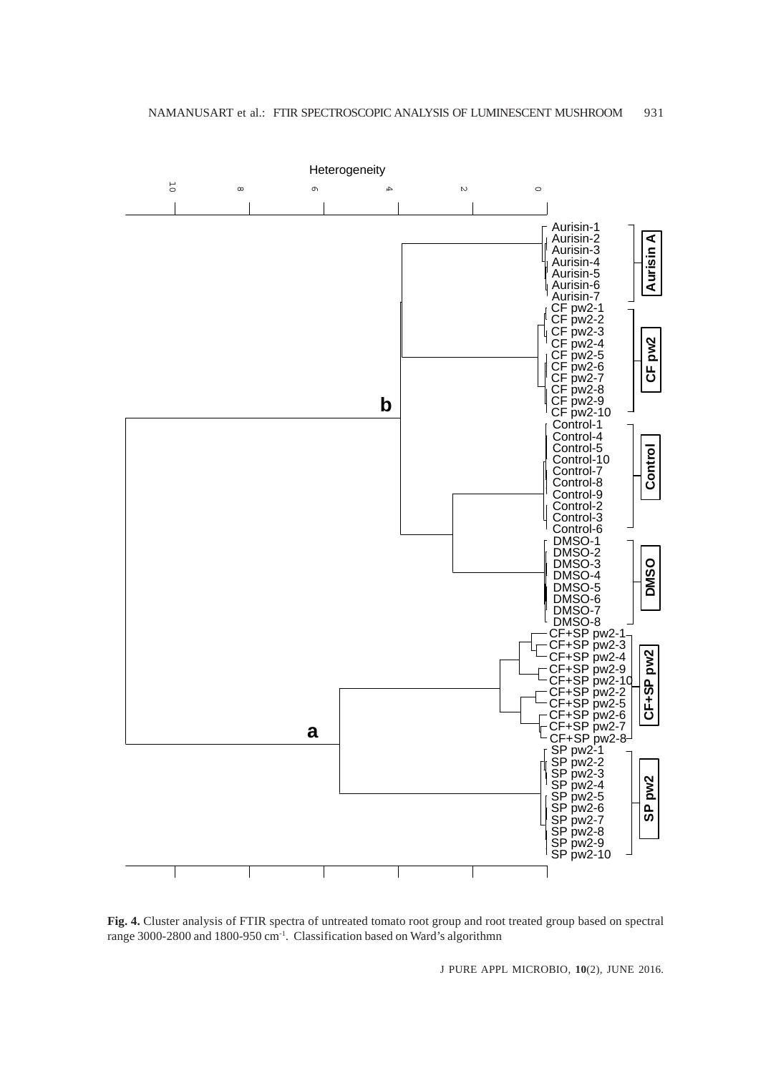

**Fig. 4.** Cluster analysis of FTIR spectra of untreated tomato root group and root treated group based on spectral range 3000-2800 and 1800-950 cm-1. Classification based on Ward's algorithmn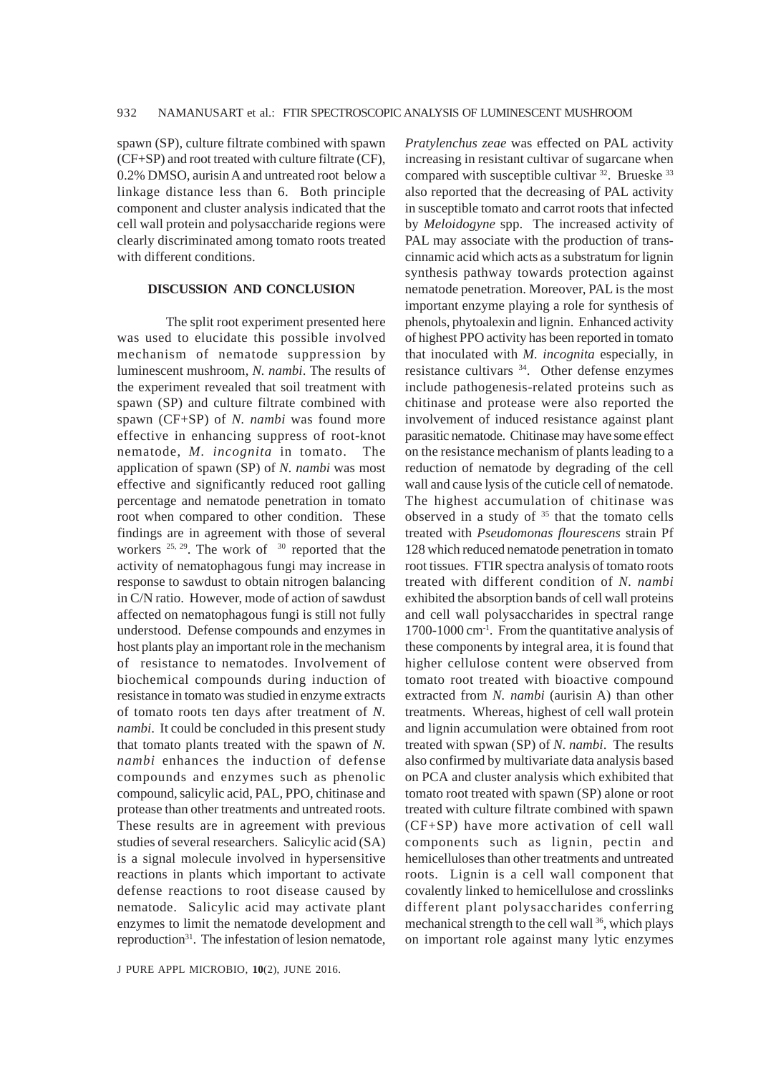spawn (SP), culture filtrate combined with spawn (CF+SP) and root treated with culture filtrate (CF), 0.2% DMSO, aurisin A and untreated root below a linkage distance less than 6. Both principle component and cluster analysis indicated that the cell wall protein and polysaccharide regions were clearly discriminated among tomato roots treated with different conditions.

#### **DISCUSSION AND CONCLUSION**

The split root experiment presented here was used to elucidate this possible involved mechanism of nematode suppression by luminescent mushroom, *N. nambi*. The results of the experiment revealed that soil treatment with spawn (SP) and culture filtrate combined with spawn (CF+SP) of *N. nambi* was found more effective in enhancing suppress of root-knot nematode, *M. incognita* in tomato. The application of spawn (SP) of *N. nambi* was most effective and significantly reduced root galling percentage and nematode penetration in tomato root when compared to other condition. These findings are in agreement with those of several workers  $25, 29$ . The work of  $30$  reported that the activity of nematophagous fungi may increase in response to sawdust to obtain nitrogen balancing in C/N ratio. However, mode of action of sawdust affected on nematophagous fungi is still not fully understood. Defense compounds and enzymes in host plants play an important role in the mechanism of resistance to nematodes. Involvement of biochemical compounds during induction of resistance in tomato was studied in enzyme extracts of tomato roots ten days after treatment of *N. nambi*. It could be concluded in this present study that tomato plants treated with the spawn of *N. nambi* enhances the induction of defense compounds and enzymes such as phenolic compound, salicylic acid, PAL, PPO, chitinase and protease than other treatments and untreated roots. These results are in agreement with previous studies of several researchers. Salicylic acid (SA) is a signal molecule involved in hypersensitive reactions in plants which important to activate defense reactions to root disease caused by nematode. Salicylic acid may activate plant enzymes to limit the nematode development and reproduction<sup>31</sup>. The infestation of lesion nematode,

J PURE APPL MICROBIO*,* **10**(2), JUNE 2016.

*Pratylenchus zeae* was effected on PAL activity increasing in resistant cultivar of sugarcane when compared with susceptible cultivar <sup>32</sup>. Brueske <sup>33</sup> also reported that the decreasing of PAL activity in susceptible tomato and carrot roots that infected by *Meloidogyne* spp. The increased activity of PAL may associate with the production of transcinnamic acid which acts as a substratum for lignin synthesis pathway towards protection against nematode penetration. Moreover, PAL is the most important enzyme playing a role for synthesis of phenols, phytoalexin and lignin. Enhanced activity of highest PPO activity has been reported in tomato that inoculated with *M. incognita* especially, in resistance cultivars 34. Other defense enzymes include pathogenesis-related proteins such as chitinase and protease were also reported the involvement of induced resistance against plant parasitic nematode. Chitinase may have some effect on the resistance mechanism of plants leading to a reduction of nematode by degrading of the cell wall and cause lysis of the cuticle cell of nematode. The highest accumulation of chitinase was observed in a study of 35 that the tomato cells treated with *Pseudomonas flourescens* strain Pf 128 which reduced nematode penetration in tomato root tissues. FTIR spectra analysis of tomato roots treated with different condition of *N. nambi* exhibited the absorption bands of cell wall proteins and cell wall polysaccharides in spectral range 1700-1000 cm-1. From the quantitative analysis of these components by integral area, it is found that higher cellulose content were observed from tomato root treated with bioactive compound extracted from *N. nambi* (aurisin A) than other treatments. Whereas, highest of cell wall protein and lignin accumulation were obtained from root treated with spwan (SP) of *N. nambi*. The results also confirmed by multivariate data analysis based on PCA and cluster analysis which exhibited that tomato root treated with spawn (SP) alone or root treated with culture filtrate combined with spawn (CF+SP) have more activation of cell wall components such as lignin, pectin and hemicelluloses than other treatments and untreated roots. Lignin is a cell wall component that covalently linked to hemicellulose and crosslinks different plant polysaccharides conferring mechanical strength to the cell wall <sup>36</sup>, which plays on important role against many lytic enzymes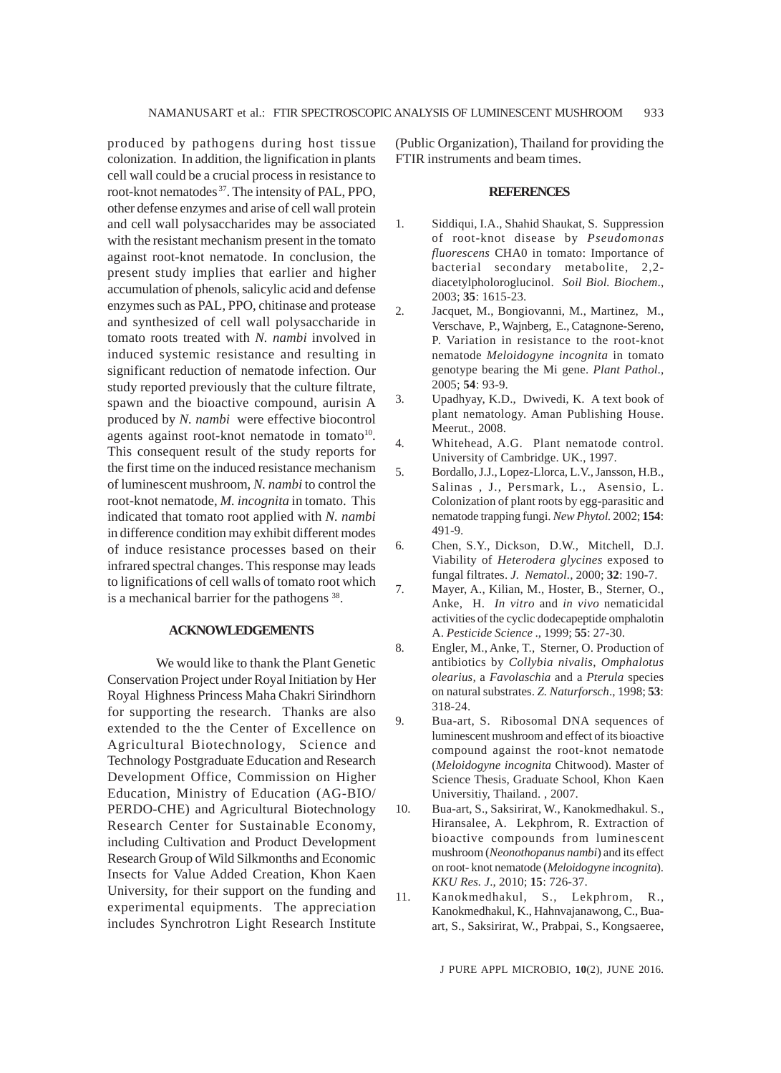produced by pathogens during host tissue colonization. In addition, the lignification in plants cell wall could be a crucial process in resistance to root-knot nematodes 37. The intensity of PAL, PPO, other defense enzymes and arise of cell wall protein and cell wall polysaccharides may be associated with the resistant mechanism present in the tomato against root-knot nematode. In conclusion, the present study implies that earlier and higher accumulation of phenols, salicylic acid and defense enzymes such as PAL, PPO, chitinase and protease and synthesized of cell wall polysaccharide in tomato roots treated with *N. nambi* involved in induced systemic resistance and resulting in significant reduction of nematode infection. Our study reported previously that the culture filtrate, spawn and the bioactive compound, aurisin A produced by *N. nambi* were effective biocontrol agents against root-knot nematode in tomato $10$ . This consequent result of the study reports for the first time on the induced resistance mechanism of luminescent mushroom, *N. nambi* to control the root-knot nematode, *M. incognita* in tomato. This indicated that tomato root applied with *N. nambi* in difference condition may exhibit different modes of induce resistance processes based on their infrared spectral changes. This response may leads to lignifications of cell walls of tomato root which is a mechanical barrier for the pathogens 38.

## **ACKNOWLEDGEMENTS**

We would like to thank the Plant Genetic Conservation Project under Royal Initiation by Her Royal Highness Princess Maha Chakri Sirindhorn for supporting the research. Thanks are also extended to the the Center of Excellence on Agricultural Biotechnology, Science and Technology Postgraduate Education and Research Development Office, Commission on Higher Education, Ministry of Education (AG-BIO/ PERDO-CHE) and Agricultural Biotechnology Research Center for Sustainable Economy, including Cultivation and Product Development Research Group of Wild Silkmonths and Economic Insects for Value Added Creation, Khon Kaen University, for their support on the funding and experimental equipments. The appreciation includes Synchrotron Light Research Institute

(Public Organization), Thailand for providing the FTIR instruments and beam times.

#### **REFERENCES**

- 1. Siddiqui, I.A., Shahid Shaukat, S. Suppression of root-knot disease by *Pseudomonas fluorescens* CHA0 in tomato: Importance of bacterial secondary metabolite, 2,2 diacetylpholoroglucinol. *Soil Biol. Biochem*., 2003; **35**: 1615-23.
- 2. Jacquet, M., Bongiovanni, M., Martinez, M., Verschave, P., Wajnberg, E., Catagnone-Sereno, P. Variation in resistance to the root-knot nematode *Meloidogyne incognita* in tomato genotype bearing the Mi gene. *Plant Pathol*., 2005; **54**: 93-9.
- 3. Upadhyay, K.D., Dwivedi, K. A text book of plant nematology. Aman Publishing House. Meerut., 2008.
- 4. Whitehead, A.G. Plant nematode control. University of Cambridge. UK., 1997.
- 5. Bordallo, J.J., Lopez-Llorca, L.V., Jansson, H.B., Salinas , J., Persmark, L., Asensio, L. Colonization of plant roots by egg-parasitic and nematode trapping fungi. *New Phytol.* 2002; **154**: 491-9.
- 6. Chen, S.Y., Dickson, D.W., Mitchell, D.J. Viability of *Heterodera glycines* exposed to fungal filtrates. *J. Nematol.,* 2000; **32**: 190-7.
- 7. Mayer, A., Kilian, M., Hoster, B., Sterner, O., Anke, H. *In vitro* and *in vivo* nematicidal activities of the cyclic dodecapeptide omphalotin A. *Pesticide Science* ., 1999; **55**: 27-30.
- 8. Engler, M., Anke, T., Sterner, O. Production of antibiotics by *Collybia nivalis*, *Omphalotus olearius,* a *Favolaschia* and a *Pterula* species on natural substrates. *Z. Naturforsch*., 1998; **53**: 318-24.
- 9. Bua-art, S. Ribosomal DNA sequences of luminescent mushroom and effect of its bioactive compound against the root-knot nematode (*Meloidogyne incognita* Chitwood). Master of Science Thesis, Graduate School, Khon Kaen Universitiy, Thailand. , 2007.
- 10. Bua-art, S., Saksirirat, W., Kanokmedhakul. S., Hiransalee, A. Lekphrom, R. Extraction of bioactive compounds from luminescent mushroom (*Neonothopanus nambi*) and its effect on root- knot nematode (*Meloidogyne incognita*). *KKU Res. J*., 2010; **15**: 726-37.
- 11. Kanokmedhakul, S., Lekphrom, R., Kanokmedhakul, K., Hahnvajanawong, C., Buaart, S., Saksirirat, W., Prabpai, S., Kongsaeree,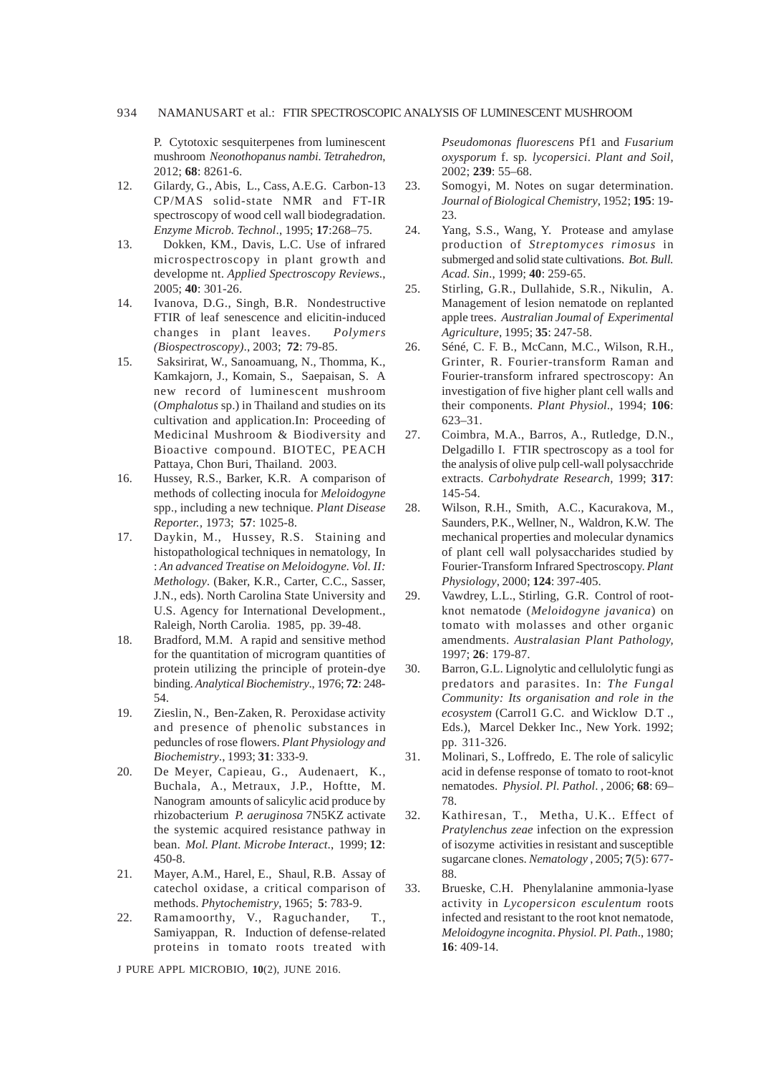P. Cytotoxic sesquiterpenes from luminescent mushroom *Neonothopanus nambi. Tetrahedron*, 2012; **68**: 8261-6.

- 12. Gilardy, G., Abis, L., Cass, A.E.G. Carbon-13 CP/MAS solid-state NMR and FT-IR spectroscopy of wood cell wall biodegradation. *Enzyme Microb. Technol*., 1995; **17**:268–75.
- 13. Dokken, KM., Davis, L.C. Use of infrared microspectroscopy in plant growth and developme nt. *Applied Spectroscopy Reviews*., 2005; **40**: 301-26.
- 14. Ivanova, D.G., Singh, B.R. Nondestructive FTIR of leaf senescence and elicitin-induced changes in plant leaves. *Polymers (Biospectroscopy)*., 2003; **72**: 79-85.
- 15. Saksirirat, W., Sanoamuang, N., Thomma, K., Kamkajorn, J., Komain, S., Saepaisan, S. A new record of luminescent mushroom (*Omphalotus* sp.) in Thailand and studies on its cultivation and application.In: Proceeding of Medicinal Mushroom & Biodiversity and Bioactive compound. BIOTEC, PEACH Pattaya, Chon Buri, Thailand. 2003.
- 16. Hussey, R.S., Barker, K.R. A comparison of methods of collecting inocula for *Meloidogyne* spp., including a new technique. *Plant Disease Reporter.,* 1973; **57**: 1025-8.
- 17. Daykin, M., Hussey, R.S. Staining and histopathological techniques in nematology, In : *An advanced Treatise on Meloidogyne. Vol. II: Methology*. (Baker, K.R., Carter, C.C., Sasser, J.N., eds). North Carolina State University and U.S. Agency for International Development., Raleigh, North Carolia. 1985, pp. 39-48.
- 18. Bradford*,* M.M.A rapid and sensitive method for the quantitation of microgram quantities of protein utilizing the principle of protein-dye binding. *Analytical Biochemistry*., 1976; **72**: 248- 54.
- 19. Zieslin, N., Ben-Zaken, R. Peroxidase activity and presence of phenolic substances in peduncles of rose flowers. *Plant Physiology and Biochemistry*., 1993; **31**: 333-9.
- 20. De Meyer, Capieau, G., Audenaert, K., Buchala, A., Metraux, J.P., Hoftte, M. Nanogram amounts of salicylic acid produce by rhizobacterium *P. aeruginosa* 7N5KZ activate the systemic acquired resistance pathway in bean. *Mol. Plant. Microbe Interact*., 1999; **12**: 450-8.
- 21. Mayer, A.M., Harel, E., Shaul, R.B. Assay of catechol oxidase, a critical comparison of methods. *Phytochemistry*, 1965; **5**: 783-9.
- 22. Ramamoorthy, V., Raguchander, T., Samiyappan, R. Induction of defense-related proteins in tomato roots treated with

J PURE APPL MICROBIO*,* **10**(2), JUNE 2016.

*Pseudomonas fluorescens* Pf1 and *Fusarium oxysporum* f. sp*. lycopersici*. *Plant and Soil*, 2002; **239**: 55–68.

- 23. Somogyi, M. Notes on sugar determination. *Journal of Biological Chemistry*, 1952; **195**: 19- 23.
- 24. Yang, S.S., Wang, Y. Protease and amylase production of *Streptomyces rimosus* in submerged and solid state cultivations. *Bot. Bull. Acad. Sin*., 1999; **40**: 259-65.
- 25. Stirling, G.R., Dullahide, S.R., Nikulin, A. Management of lesion nematode on replanted apple trees. *Australian Joumal of Experimental Agriculture*, 1995; **35**: 247-58.
- 26. Séné, C. F. B., McCann, M.C., Wilson, R.H., Grinter, R. Fourier-transform Raman and Fourier-transform infrared spectroscopy: An investigation of five higher plant cell walls and their components. *Plant Physiol*., 1994; **106**: 623–31.
- 27. Coimbra, M.A., Barros, A., Rutledge, D.N., Delgadillo I. FTIR spectroscopy as a tool for the analysis of olive pulp cell-wall polysacchride extracts. *Carbohydrate Research,* 1999; **317**: 145-54.
- 28. Wilson, R.H., Smith, A.C., Kacurakova, M., Saunders, P.K., Wellner, N., Waldron, K.W. The mechanical properties and molecular dynamics of plant cell wall polysaccharides studied by Fourier-Transform Infrared Spectroscopy. *Plant Physiology*, 2000; **124**: 397-405.
- 29. Vawdrey, L.L., Stirling, G.R. Control of rootknot nematode (*Meloidogyne javanica*) on tomato with molasses and other organic amendments. *Australasian Plant Pathology,* 1997; **26**: 179-87.
- 30. Barron, G.L. Lignolytic and cellulolytic fungi as predators and parasites. In: *The Fungal Community: Its organisation and role in the ecosystem* (Carrol1 G.C. and Wicklow D.T ., Eds.), Marcel Dekker Inc., New York. 1992; pp. 311-326.
- 31. Molinari, S., Loffredo, E. The role of salicylic acid in defense response of tomato to root-knot nematodes. *Physiol. Pl. Pathol*. , 2006; **68**: 69– 78.
- 32. Kathiresan, T., Metha, U.K.. Effect of *Pratylenchus zeae* infection on the expression of isozyme activities in resistant and susceptible sugarcane clones. *Nematology* , 2005; **7**(5): 677- 88.
- 33. Brueske, C.H. Phenylalanine ammonia-lyase activity in *Lycopersicon esculentum* roots infected and resistant to the root knot nematode, *Meloidogyne incognita*. *Physiol. Pl. Path*., 1980; **16**: 409-14.